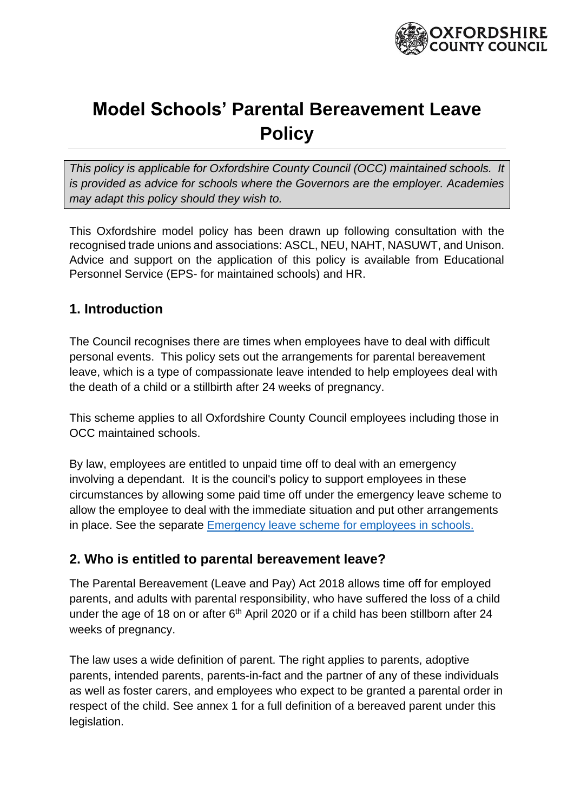

# **Model Schools' Parental Bereavement Leave Policy**

*This policy is applicable for Oxfordshire County Council (OCC) maintained schools. It is provided as advice for schools where the Governors are the employer. Academies may adapt this policy should they wish to.* 

This Oxfordshire model policy has been drawn up following consultation with the recognised trade unions and associations: ASCL, NEU, NAHT, NASUWT, and Unison. Advice and support on the application of this policy is available from Educational Personnel Service (EPS- for maintained schools) and HR.

### **1. Introduction**

The Council recognises there are times when employees have to deal with difficult personal events. This policy sets out the arrangements for parental bereavement leave, which is a type of compassionate leave intended to help employees deal with the death of a child or a stillbirth after 24 weeks of pregnancy.

This scheme applies to all Oxfordshire County Council employees including those in OCC maintained schools.

By law, employees are entitled to unpaid time off to deal with an emergency involving a dependant. It is the council's policy to support employees in these circumstances by allowing some paid time off under the emergency leave scheme to allow the employee to deal with the immediate situation and put other arrangements in place. See the separate [Emergency leave scheme for employees in schools.](http://schools.oxfordshire.gov.uk/cms/sites/schools/files/folders/folders/documents/HR/Policies/SchoolsEmergencySpecialLeaveScheme.pdf)

### **2. Who is entitled to parental bereavement leave?**

The Parental Bereavement (Leave and Pay) Act 2018 allows time off for employed parents, and adults with parental responsibility, who have suffered the loss of a child under the age of 18 on or after  $6<sup>th</sup>$  April 2020 or if a child has been stillborn after 24 weeks of pregnancy.

The law uses a wide definition of parent. The right applies to parents, adoptive parents, intended parents, parents-in-fact and the partner of any of these individuals as well as foster carers, and employees who expect to be granted a parental order in respect of the child. See annex 1 for a full definition of a bereaved parent under this legislation.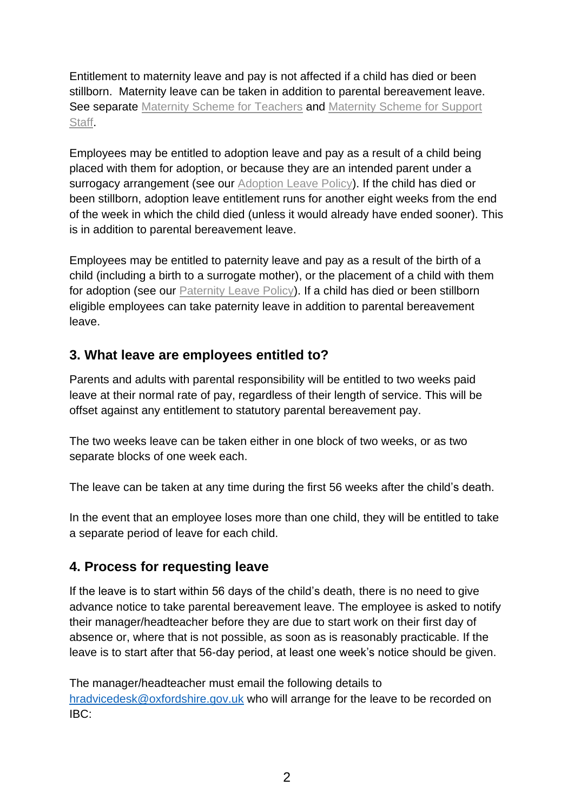Entitlement to maternity leave and pay is not affected if a child has died or been stillborn. Maternity leave can be taken in addition to parental bereavement leave. See separate [Maternity Scheme for Teachers](http://schools.oxfordshire.gov.uk/cms/sites/schools/files/folders/folders/documents/HR/formsandpay/MaternitySchemeTeachers.docx) and Maternity Scheme for Support [Staff.](http://schools.oxfordshire.gov.uk/cms/sites/schools/files/folders/folders/documents/HR/formsandpay/MaternitySchemeforSupportStaffinSchools.docx)

Employees may be entitled to adoption leave and pay as a result of a child being placed with them for adoption, or because they are an intended parent under a surrogacy arrangement (see our [Adoption Leave Policy\)](http://schools.oxfordshire.gov.uk/cms/node/350). If the child has died or been stillborn, adoption leave entitlement runs for another eight weeks from the end of the week in which the child died (unless it would already have ended sooner). This is in addition to parental bereavement leave.

Employees may be entitled to paternity leave and pay as a result of the birth of a child (including a birth to a surrogate mother), or the placement of a child with them for adoption (see our [Paternity Leave Policy\)](http://schools.oxfordshire.gov.uk/cms/node/350). If a child has died or been stillborn eligible employees can take paternity leave in addition to parental bereavement leave.

### **3. What leave are employees entitled to?**

Parents and adults with parental responsibility will be entitled to two weeks paid leave at their normal rate of pay, regardless of their length of service. This will be offset against any entitlement to statutory parental bereavement pay.

The two weeks leave can be taken either in one block of two weeks, or as two separate blocks of one week each.

The leave can be taken at any time during the first 56 weeks after the child's death.

In the event that an employee loses more than one child, they will be entitled to take a separate period of leave for each child.

### **4. Process for requesting leave**

If the leave is to start within 56 days of the child's death, there is no need to give advance notice to take parental bereavement leave. The employee is asked to notify their manager/headteacher before they are due to start work on their first day of absence or, where that is not possible, as soon as is reasonably practicable. If the leave is to start after that 56-day period, at least one week's notice should be given.

The manager/headteacher must email the following details to [hradvicedesk@oxfordshire.gov.uk](mailto:hradvicedesk@oxfordshire.gov.uk) who will arrange for the leave to be recorded on IBC: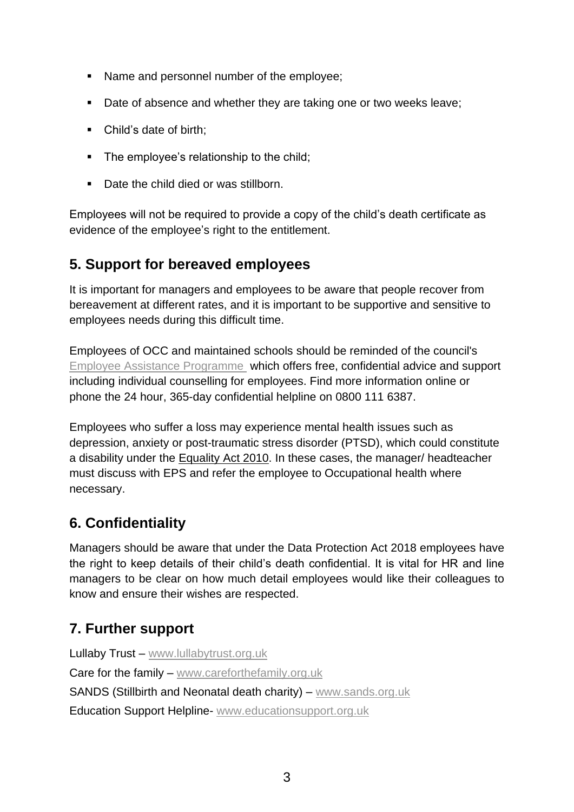- Name and personnel number of the employee;
- Date of absence and whether they are taking one or two weeks leave;
- Child's date of birth:
- The employee's relationship to the child;
- Date the child died or was stillborn.

Employees will not be required to provide a copy of the child's death certificate as evidence of the employee's right to the entitlement.

### **5. Support for bereaved employees**

It is important for managers and employees to be aware that people recover from bereavement at different rates, and it is important to be supportive and sensitive to employees needs during this difficult time.

Employees of OCC and maintained schools should be reminded of the council's [Employee Assistance Programme](http://schools.oxfordshire.gov.uk/cms/content/employee-assistance-programme-0) which offers free, confidential advice and support including individual counselling for employees. Find more information online or phone the 24 hour, 365-day confidential helpline on 0800 111 6387.

Employees who suffer a loss may experience mental health issues such as depression, anxiety or post-traumatic stress disorder (PTSD), which could constitute a disability under the [Equality Act 2010.](https://www.legislation.gov.uk/ukpga/2010/15/contents) In these cases, the manager/ headteacher must discuss with EPS and refer the employee to Occupational health where necessary.

### **6. Confidentiality**

Managers should be aware that under the Data Protection Act 2018 employees have the right to keep details of their child's death confidential. It is vital for HR and line managers to be clear on how much detail employees would like their colleagues to know and ensure their wishes are respected.

## **7. Further support**

Lullaby Trust – [www.lullabytrust.org.uk](https://www.lullabytrust.org.uk/bereavement-support/?gclid=EAIaIQobChMIwsu27rmr5wIVSLTtCh1HpAEsEAAYASAAEgIJcfD_BwE) Care for the family – [www.careforthefamily.org.uk](https://www.careforthefamily.org.uk/family-life/bereavement-support/bereaved-parent-support) SANDS (Stillbirth and Neonatal death charity) – [www.sands.org.uk](https://www.sands.org.uk/) Education Support Helpline- [www.educationsupport.org.uk](http://www.educationsupport.org.uk/)